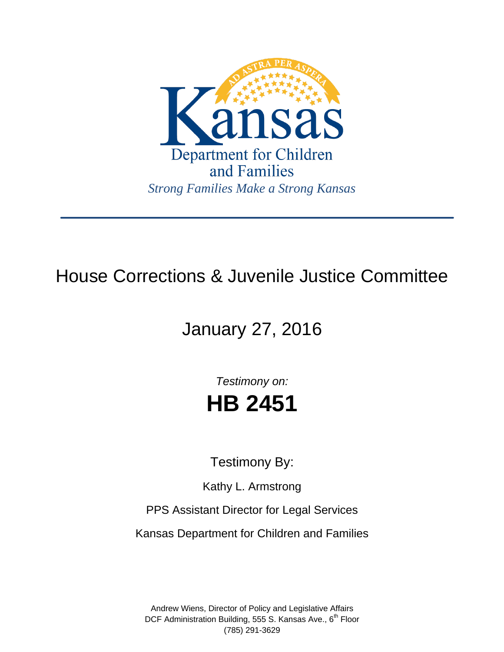

## House Corrections & Juvenile Justice Committee

# January 27, 2016

*Testimony on:* **HB 2451**

Testimony By:

Kathy L. Armstrong

PPS Assistant Director for Legal Services

Kansas Department for Children and Families

Andrew Wiens, Director of Policy and Legislative Affairs DCF Administration Building, 555 S. Kansas Ave., 6<sup>th</sup> Floor (785) 291-3629